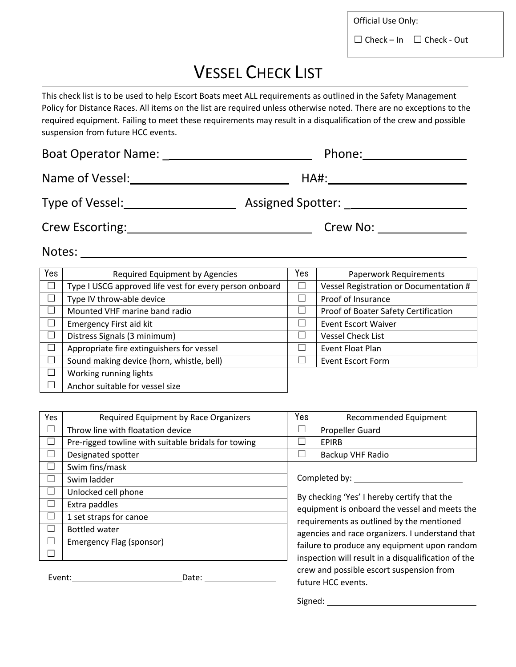Official Use Only:

 $\Box$  Check – In  $\Box$  Check - Out

## VESSEL CHECK LIST

This check list is to be used to help Escort Boats meet ALL requirements as outlined in the Safety Management Policy for Distance Races. All items on the list are required unless otherwise noted. There are no exceptions to the required equipment. Failing to meet these requirements may result in a disqualification of the crew and possible suspension from future HCC events.

| <b>Boat Operator Name:</b> Name: | Phone:                   |  |  |
|----------------------------------|--------------------------|--|--|
| Name of Vessel:                  | HA#:                     |  |  |
| Type of Vessel:                  | Assigned Spotter: ______ |  |  |
| <b>Crew Escorting:</b>           | Crew No:                 |  |  |

Notes: Notes: Notes: Notes: Notes: Notes: Notes: Notes: Notes: Notes: Notes: Notes: Notes: Notes: Notes: Notes: Notes: Notes: Notes: Notes: Notes: Notes: Notes: Notes: Notes: Notes: Notes: Notes: Notes: Notes: Notes: Notes

| Yes    | Required Equipment by Agencies                          | Yes | <b>Paperwork Requirements</b>          |
|--------|---------------------------------------------------------|-----|----------------------------------------|
|        | Type I USCG approved life vest for every person onboard |     | Vessel Registration or Documentation # |
|        | Type IV throw-able device                               |     | Proof of Insurance                     |
|        | Mounted VHF marine band radio                           |     | Proof of Boater Safety Certification   |
| ×      | <b>Emergency First aid kit</b>                          |     | <b>Event Escort Waiver</b>             |
|        | Distress Signals (3 minimum)                            |     | <b>Vessel Check List</b>               |
| $\sim$ | Appropriate fire extinguishers for vessel               |     | Event Float Plan                       |
|        | Sound making device (horn, whistle, bell)               |     | <b>Event Escort Form</b>               |
|        | Working running lights                                  |     |                                        |
|        | Anchor suitable for vessel size                         |     |                                        |

| Yes                      | Required Equipment by Race Organizers               | Yes                     | Recommended Equipment                                          |
|--------------------------|-----------------------------------------------------|-------------------------|----------------------------------------------------------------|
|                          | Throw line with floatation device                   |                         | Propeller Guard                                                |
|                          | Pre-rigged towline with suitable bridals for towing |                         | <b>EPIRB</b>                                                   |
| $\overline{\phantom{a}}$ | Designated spotter                                  |                         | Backup VHF Radio                                               |
|                          | Swim fins/mask                                      |                         |                                                                |
|                          | Swim ladder                                         | Completed by: _________ |                                                                |
| ⊔                        | Unlocked cell phone                                 |                         | By checking 'Yes' I hereby certify that the                    |
| $\mathcal{L}$            | Extra paddles                                       |                         | equipment is onboard the vessel and meets the                  |
| - 1                      | 1 set straps for canoe                              |                         | requirements as outlined by the mentioned                      |
|                          | <b>Bottled water</b>                                |                         | agencies and race organizers. I understand that                |
|                          | Emergency Flag (sponsor)                            |                         | failure to produce any equipment upon random                   |
|                          |                                                     |                         | inspection will result in a disqualification of the            |
| Event:                   | Date:                                               |                         | crew and possible escort suspension from<br>future HCC events. |

Signed: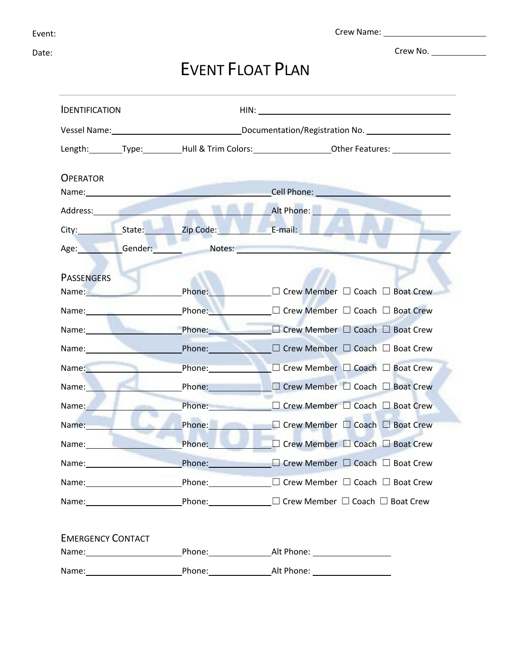Date:

Crew Name:

Crew No.

## EVENT FLOAT PLAN

| <b>IDENTIFICATION</b>                                                                                                                                                                                                         |                                                                                                                                                                                                                                |                                                                                                                                                                                                                               |
|-------------------------------------------------------------------------------------------------------------------------------------------------------------------------------------------------------------------------------|--------------------------------------------------------------------------------------------------------------------------------------------------------------------------------------------------------------------------------|-------------------------------------------------------------------------------------------------------------------------------------------------------------------------------------------------------------------------------|
|                                                                                                                                                                                                                               |                                                                                                                                                                                                                                | Vessel Name: 1990 Manner Channel Manner Channel Documentation/Registration No.                                                                                                                                                |
|                                                                                                                                                                                                                               |                                                                                                                                                                                                                                | Length: Type: Hull & Trim Colors: 0ther Features:                                                                                                                                                                             |
|                                                                                                                                                                                                                               |                                                                                                                                                                                                                                |                                                                                                                                                                                                                               |
| <b>OPERATOR</b>                                                                                                                                                                                                               | Name: and the contract of the contract of the contract of the contract of the contract of the contract of the contract of the contract of the contract of the contract of the contract of the contract of the contract of the  | <b>Cell Phone: Cell Phone: Cell Phone: Cell Phone: Cell Phone: Cell Phone: Cell Phone: Cell Phone: Cell Phone: Cell Phone: Cell Phone: Cell Phone: Cell Phone: Cell Phone: Cell Phone: Cell Phone:</b>                        |
|                                                                                                                                                                                                                               | Address: Andreas Address: Address: Address: Address: Address: Address: Address: Address: Address: Address: Address: Address: Address: Address: Address: Address: Address: Address: Address: Address: Address: Address: Address | <b>Exercise Alt Phone:</b>                                                                                                                                                                                                    |
|                                                                                                                                                                                                                               | City: State: Zip Code: E-mail:                                                                                                                                                                                                 |                                                                                                                                                                                                                               |
| Age: Gender:                                                                                                                                                                                                                  | سين المراجع                                                                                                                                                                                                                    | Notes: Notes:                                                                                                                                                                                                                 |
| <b>PASSENGERS</b>                                                                                                                                                                                                             |                                                                                                                                                                                                                                |                                                                                                                                                                                                                               |
| Name: Name                                                                                                                                                                                                                    |                                                                                                                                                                                                                                | Phone: □ Crew Member □ Coach □ Boat Crew                                                                                                                                                                                      |
| Name: and the state of the state of the state of the state of the state of the state of the state of the state of the state of the state of the state of the state of the state of the state of the state of the state of the |                                                                                                                                                                                                                                | Phone: <u>□ Crew</u> Member □ Coach □ Boat Crew                                                                                                                                                                               |
| Name: <b>Name:</b> Name: 1999                                                                                                                                                                                                 |                                                                                                                                                                                                                                | Phone: □ Crew Member □ Coach □ Boat Crew                                                                                                                                                                                      |
| Name: Name                                                                                                                                                                                                                    | Phone:                                                                                                                                                                                                                         | □ Crew Member □ Coach □ Boat Crew                                                                                                                                                                                             |
| Name: Name                                                                                                                                                                                                                    | Phone: The Contract of the Contract of the Contract of the Contract of the Contract of the Contract of the Contract of the Contract of the Contract of the Contract of the Contract of the Contract of the Contract of the Con | □ Crew Member □ Coach □ Boat Crew                                                                                                                                                                                             |
| Name:                                                                                                                                                                                                                         | Phone:                                                                                                                                                                                                                         | $\Box$ Crew Member $\Box$ Coach $\Box$ Boat Crew                                                                                                                                                                              |
| Name: Name                                                                                                                                                                                                                    | Phone: The Contract of the Contract of the Contract of the Contract of the Contract of the Contract of the Contract of the Contract of the Contract of the Contract of the Contract of the Contract of the Contract of the Con | $\Box$ Crew Member $\Box$ Coach $\Box$ Boat Crew                                                                                                                                                                              |
| Name:                                                                                                                                                                                                                         |                                                                                                                                                                                                                                | Phone: □ Crew Member □ Coach □ Boat Crew                                                                                                                                                                                      |
| Name: and the state of the state of the state of the state of the state of the state of the state of the state                                                                                                                | Phone:                                                                                                                                                                                                                         | □ Crew Member □ Coach □ Boat Crew                                                                                                                                                                                             |
| Name: and the state of the state of the state of the state of the state of the state of the state of the state                                                                                                                | Phone:                                                                                                                                                                                                                         | □ Crew Member □ Coach □ Boat Crew                                                                                                                                                                                             |
|                                                                                                                                                                                                                               |                                                                                                                                                                                                                                |                                                                                                                                                                                                                               |
|                                                                                                                                                                                                                               |                                                                                                                                                                                                                                |                                                                                                                                                                                                                               |
|                                                                                                                                                                                                                               |                                                                                                                                                                                                                                |                                                                                                                                                                                                                               |
| <b>EMERGENCY CONTACT</b>                                                                                                                                                                                                      |                                                                                                                                                                                                                                |                                                                                                                                                                                                                               |
|                                                                                                                                                                                                                               |                                                                                                                                                                                                                                |                                                                                                                                                                                                                               |
|                                                                                                                                                                                                                               |                                                                                                                                                                                                                                | Name: Name: Name: Name: Name: Name: Name: Name: Name: Name: Name: Name: Name: Name: Name: Name: Name: Name: Name: Name: Name: Name: Name: Name: Name: Name: Name: Name: Name: Name: Name: Name: Name: Name: Name: Name: Name: |